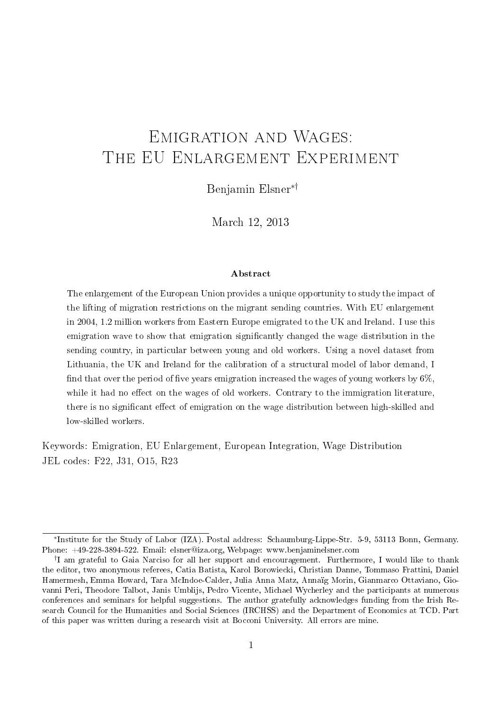# Emigration and Wages: THE EU ENLARGEMENT EXPERIMENT

Benjamin Elsner∗†

March 12, 2013

#### Abstract

The enlargement of the European Union provides a unique opportunity to study the impact of the lifting of migration restrictions on the migrant sending countries. With EU enlargement in 2004, 1.2 million workers from Eastern Europe emigrated to the UK and Ireland. I use this emigration wave to show that emigration signicantly changed the wage distribution in the sending country, in particular between young and old workers. Using a novel dataset from Lithuania, the UK and Ireland for the calibration of a structural model of labor demand, I find that over the period of five years emigration increased the wages of young workers by  $6\%$ , while it had no effect on the wages of old workers. Contrary to the immigration literature, there is no significant effect of emigration on the wage distribution between high-skilled and low-skilled workers.

Keywords: Emigration, EU Enlargement, European Integration, Wage Distribution JEL codes: F22, J31, O15, R23

<sup>∗</sup> Institute for the Study of Labor (IZA). Postal address: Schaumburg-Lippe-Str. 5-9, 53113 Bonn, Germany. Phone: +49-228-3894-522. Email: elsner@iza.org, Webpage: www.benjaminelsner.com

<sup>†</sup> I am grateful to Gaia Narciso for all her support and encouragement. Furthermore, I would like to thank the editor, two anonymous referees, Catia Batista, Karol Borowiecki, Christian Danne, Tommaso Frattini, Daniel Hamermesh, Emma Howard, Tara McIndoe-Calder, Julia Anna Matz, Annaïg Morin, Gianmarco Ottaviano, Giovanni Peri, Theodore Talbot, Janis Umblijs, Pedro Vicente, Michael Wycherley and the participants at numerous conferences and seminars for helpful suggestions. The author gratefully acknowledges funding from the Irish Research Council for the Humanities and Social Sciences (IRCHSS) and the Department of Economics at TCD. Part of this paper was written during a research visit at Bocconi University. All errors are mine.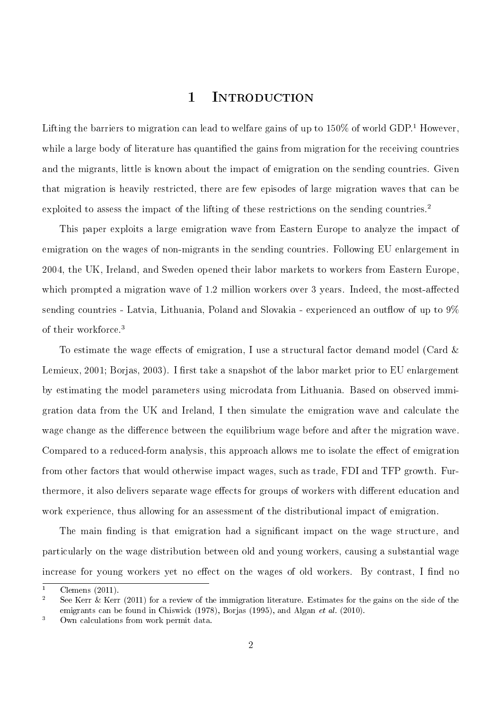## 1 Introduction

Lifting the barriers to migration can lead to welfare gains of up to  $150\%$  of world GDP.<sup>1</sup> However, while a large body of literature has quantified the gains from migration for the receiving countries and the migrants, little is known about the impact of emigration on the sending countries. Given that migration is heavily restricted, there are few episodes of large migration waves that can be exploited to assess the impact of the lifting of these restrictions on the sending countries.<sup>2</sup>

This paper exploits a large emigration wave from Eastern Europe to analyze the impact of emigration on the wages of non-migrants in the sending countries. Following EU enlargement in 2004, the UK, Ireland, and Sweden opened their labor markets to workers from Eastern Europe, which prompted a migration wave of  $1.2$  million workers over 3 years. Indeed, the most-affected sending countries - Latvia, Lithuania, Poland and Slovakia - experienced an outflow of up to  $9\%$ of their workforce.<sup>3</sup>

To estimate the wage effects of emigration, I use a structural factor demand model (Card  $\&$ Lemieux, 2001; Borjas, 2003). I first take a snapshot of the labor market prior to EU enlargement by estimating the model parameters using microdata from Lithuania. Based on observed immigration data from the UK and Ireland, I then simulate the emigration wave and calculate the wage change as the difference between the equilibrium wage before and after the migration wave. Compared to a reduced-form analysis, this approach allows me to isolate the effect of emigration from other factors that would otherwise impact wages, such as trade, FDI and TFP growth. Furthermore, it also delivers separate wage effects for groups of workers with different education and work experience, thus allowing for an assessment of the distributional impact of emigration.

The main finding is that emigration had a significant impact on the wage structure, and particularly on the wage distribution between old and young workers, causing a substantial wage increase for young workers yet no effect on the wages of old workers. By contrast, I find no

 $\frac{1}{2}$  Clemens (2011)

See Kerr  $\&$  Kerr (2011) for a review of the immigration literature. Estimates for the gains on the side of the emigrants can be found in Chiswick (1978), Borjas (1995), and Algan et al. (2010).

<sup>3</sup> Own calculations from work permit data.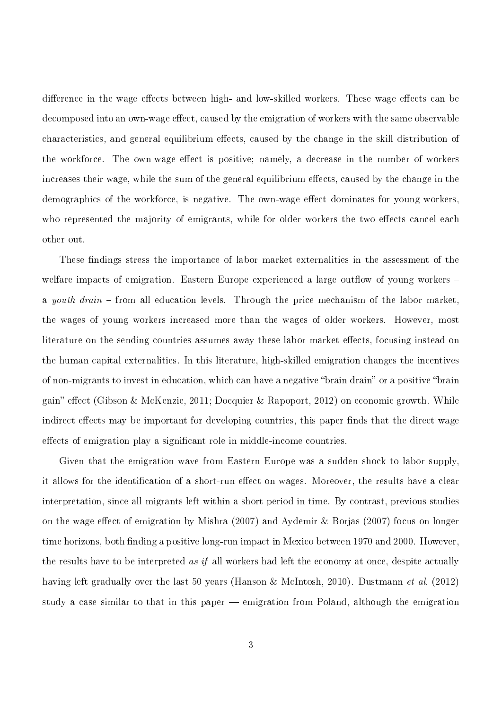difference in the wage effects between high- and low-skilled workers. These wage effects can be decomposed into an own-wage effect, caused by the emigration of workers with the same observable characteristics, and general equilibrium effects, caused by the change in the skill distribution of the workforce. The own-wage effect is positive; namely, a decrease in the number of workers increases their wage, while the sum of the general equilibrium effects, caused by the change in the demographics of the workforce, is negative. The own-wage effect dominates for young workers. who represented the majority of emigrants, while for older workers the two effects cancel each other out.

These findings stress the importance of labor market externalities in the assessment of the welfare impacts of emigration. Eastern Europe experienced a large outflow of young workers  $$ a *youth drain*  $\sim$  from all education levels. Through the price mechanism of the labor market. the wages of young workers increased more than the wages of older workers. However, most literature on the sending countries assumes away these labor market effects, focusing instead on the human capital externalities. In this literature, high-skilled emigration changes the incentives of non-migrants to invest in education, which can have a negative "brain drain" or a positive "brain gain" effect (Gibson & McKenzie, 2011; Docquier & Rapoport, 2012) on economic growth. While indirect effects may be important for developing countries, this paper finds that the direct wage effects of emigration play a significant role in middle-income countries.

Given that the emigration wave from Eastern Europe was a sudden shock to labor supply, it allows for the identification of a short-run effect on wages. Moreover, the results have a clear interpretation, since all migrants left within a short period in time. By contrast, previous studies on the wage effect of emigration by Mishra  $(2007)$  and Aydemir & Borjas  $(2007)$  focus on longer time horizons, both finding a positive long-run impact in Mexico between 1970 and 2000. However, the results have to be interpreted as if all workers had left the economy at once, despite actually having left gradually over the last 50 years (Hanson & McIntosh, 2010). Dustmann *et al.* (2012) study a case similar to that in this paper – emigration from Poland, although the emigration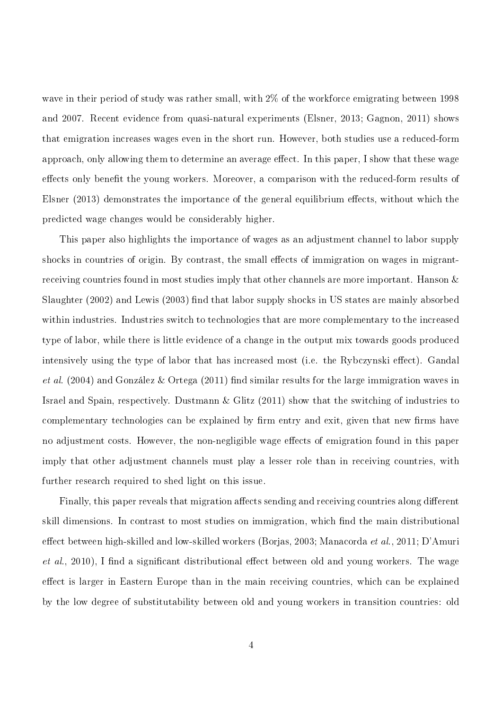wave in their period of study was rather small, with 2% of the workforce emigrating between 1998 and 2007. Recent evidence from quasi-natural experiments (Elsner, 2013; Gagnon, 2011) shows that emigration increases wages even in the short run. However, both studies use a reduced-form approach, only allowing them to determine an average effect. In this paper, I show that these wage effects only benefit the young workers. Moreover, a comparison with the reduced-form results of Elsner  $(2013)$  demonstrates the importance of the general equilibrium effects, without which the predicted wage changes would be considerably higher.

This paper also highlights the importance of wages as an adjustment channel to labor supply shocks in countries of origin. By contrast, the small effects of immigration on wages in migrantreceiving countries found in most studies imply that other channels are more important. Hanson & Slaughter  $(2002)$  and Lewis  $(2003)$  find that labor supply shocks in US states are mainly absorbed within industries. Industries switch to technologies that are more complementary to the increased type of labor, while there is little evidence of a change in the output mix towards goods produced intensively using the type of labor that has increased most (i.e. the Rybczynski effect). Gandal et al. (2004) and González & Ortega (2011) find similar results for the large immigration waves in Israel and Spain, respectively. Dustmann & Glitz (2011) show that the switching of industries to complementary technologies can be explained by firm entry and exit, given that new firms have no adjustment costs. However, the non-negligible wage effects of emigration found in this paper imply that other adjustment channels must play a lesser role than in receiving countries, with further research required to shed light on this issue.

Finally, this paper reveals that migration affects sending and receiving countries along different skill dimensions. In contrast to most studies on immigration, which find the main distributional effect between high-skilled and low-skilled workers (Borjas, 2003; Manacorda *et al.*, 2011; D'Amuri *et al.*, 2010), I find a significant distributional effect between old and young workers. The wage effect is larger in Eastern Europe than in the main receiving countries, which can be explained by the low degree of substitutability between old and young workers in transition countries: old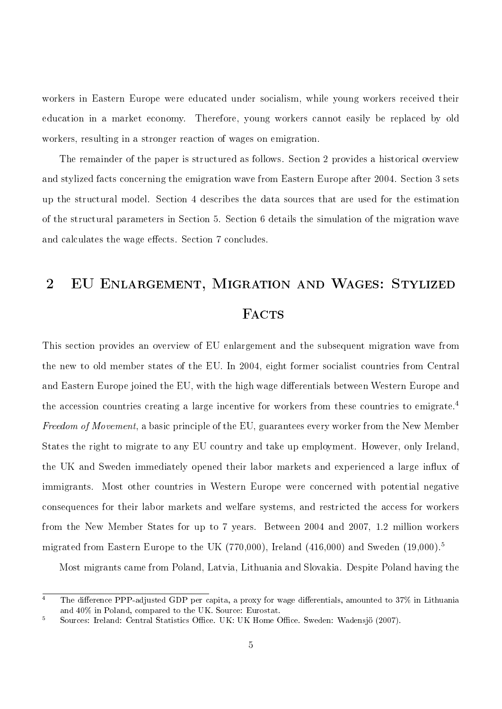workers in Eastern Europe were educated under socialism, while young workers received their education in a market economy. Therefore, young workers cannot easily be replaced by old workers, resulting in a stronger reaction of wages on emigration.

The remainder of the paper is structured as follows. Section 2 provides a historical overview and stylized facts concerning the emigration wave from Eastern Europe after 2004. Section 3 sets up the structural model. Section 4 describes the data sources that are used for the estimation of the structural parameters in Section 5. Section 6 details the simulation of the migration wave and calculates the wage effects. Section 7 concludes.

# 2 EU Enlargement, Migration and Wages: Stylized **FACTS**

This section provides an overview of EU enlargement and the subsequent migration wave from the new to old member states of the EU. In 2004, eight former socialist countries from Central and Eastern Europe joined the EU, with the high wage differentials between Western Europe and the accession countries creating a large incentive for workers from these countries to emigrate.<sup>4</sup> Freedom of Movement, a basic principle of the EU, guarantees every worker from the New Member States the right to migrate to any EU country and take up employment. However, only Ireland, the UK and Sweden immediately opened their labor markets and experienced a large influx of immigrants. Most other countries in Western Europe were concerned with potential negative consequences for their labor markets and welfare systems, and restricted the access for workers from the New Member States for up to 7 years. Between 2004 and 2007, 1.2 million workers migrated from Eastern Europe to the UK (770,000), Ireland (416,000) and Sweden  $(19,000)^5$ 

Most migrants came from Poland, Latvia, Lithuania and Slovakia. Despite Poland having the

 $\overline{4}$  The difference PPP-adjusted GDP per capita, a proxy for wage differentials, amounted to 37% in Lithuania and 40% in Poland, compared to the UK. Source: Eurostat.

<sup>&</sup>lt;sup>5</sup> Sources: Ireland: Central Statistics Office. UK: UK Home Office. Sweden: Wadensjö (2007).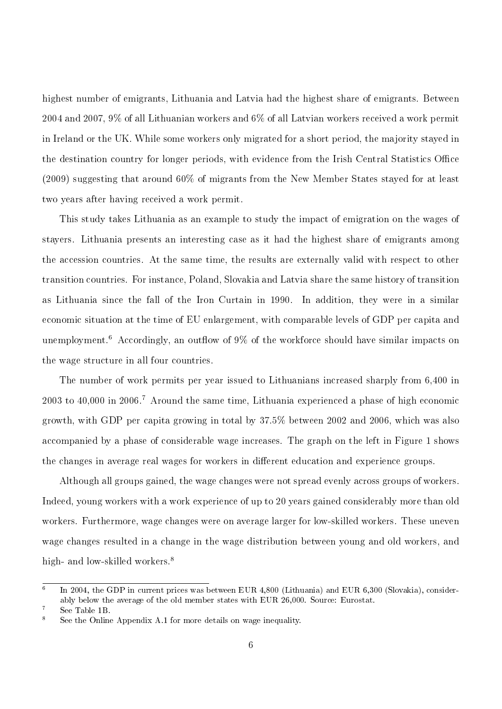highest number of emigrants, Lithuania and Latvia had the highest share of emigrants. Between 2004 and 2007, 9% of all Lithuanian workers and 6% of all Latvian workers received a work permit in Ireland or the UK. While some workers only migrated for a short period, the majority stayed in the destination country for longer periods, with evidence from the Irish Central Statistics Office (2009) suggesting that around 60% of migrants from the New Member States stayed for at least two years after having received a work permit.

This study takes Lithuania as an example to study the impact of emigration on the wages of stayers. Lithuania presents an interesting case as it had the highest share of emigrants among the accession countries. At the same time, the results are externally valid with respect to other transition countries. For instance, Poland, Slovakia and Latvia share the same history of transition as Lithuania since the fall of the Iron Curtain in 1990. In addition, they were in a similar economic situation at the time of EU enlargement, with comparable levels of GDP per capita and unemployment.<sup>6</sup> Accordingly, an outflow of  $9\%$  of the workforce should have similar impacts on the wage structure in all four countries.

The number of work permits per year issued to Lithuanians increased sharply from 6,400 in 2003 to 40,000 in 2006.<sup>7</sup> Around the same time, Lithuania experienced a phase of high economic growth, with GDP per capita growing in total by 37.5% between 2002 and 2006, which was also accompanied by a phase of considerable wage increases. The graph on the left in Figure 1 shows the changes in average real wages for workers in different education and experience groups.

Although all groups gained, the wage changes were not spread evenly across groups of workers. Indeed, young workers with a work experience of up to 20 years gained considerably more than old workers. Furthermore, wage changes were on average larger for low-skilled workers. These uneven wage changes resulted in a change in the wage distribution between young and old workers, and high- and low-skilled workers.<sup>8</sup>

<sup>6</sup> In 2004, the GDP in current prices was between EUR 4,800 (Lithuania) and EUR 6,300 (Slovakia), considerably below the average of the old member states with EUR 26,000. Source: Eurostat.

<sup>7</sup> See Table 1B.

See the Online Appendix A.1 for more details on wage inequality.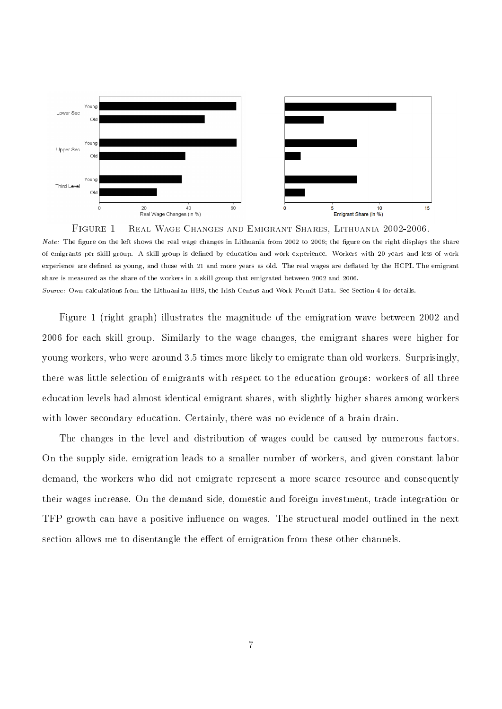

Note: The figure on the left shows the real wage changes in Lithuania from 2002 to 2006; the figure on the right displays the share of emigrants per skill group. A skill group is defined by education and work experience. Workers with 20 years and less of work experience are defined as young, and those with 21 and more years as old. The real wages are deflated by the HCPI. The emigrant share is measured as the share of the workers in a skill group that emigrated between 2002 and 2006. Source: Own calculations from the Lithuanian HBS, the Irish Census and Work Permit Data. See Section 4 for details.

Figure 1 (right graph) illustrates the magnitude of the emigration wave between 2002 and 2006 for each skill group. Similarly to the wage changes, the emigrant shares were higher for young workers, who were around 3.5 times more likely to emigrate than old workers. Surprisingly, there was little selection of emigrants with respect to the education groups: workers of all three education levels had almost identical emigrant shares, with slightly higher shares among workers with lower secondary education. Certainly, there was no evidence of a brain drain.

The changes in the level and distribution of wages could be caused by numerous factors. On the supply side, emigration leads to a smaller number of workers, and given constant labor demand, the workers who did not emigrate represent a more scarce resource and consequently their wages increase. On the demand side, domestic and foreign investment, trade integration or TFP growth can have a positive influence on wages. The structural model outlined in the next section allows me to disentangle the effect of emigration from these other channels.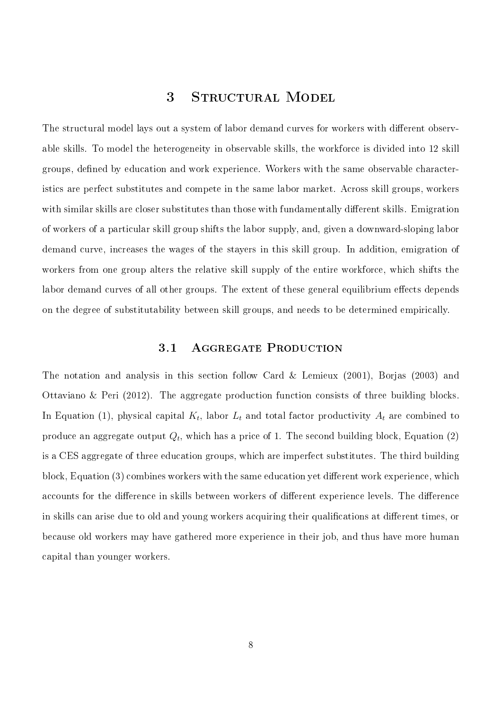## 3 STRUCTURAL MODEL

The structural model lays out a system of labor demand curves for workers with different observable skills. To model the heterogeneity in observable skills, the workforce is divided into 12 skill groups, defined by education and work experience. Workers with the same observable characteristics are perfect substitutes and compete in the same labor market. Across skill groups, workers with similar skills are closer substitutes than those with fundamentally different skills. Emigration of workers of a particular skill group shifts the labor supply, and, given a downward-sloping labor demand curve, increases the wages of the stayers in this skill group. In addition, emigration of workers from one group alters the relative skill supply of the entire workforce, which shifts the labor demand curves of all other groups. The extent of these general equilibrium effects depends on the degree of substitutability between skill groups, and needs to be determined empirically.

#### 3.1 AGGREGATE PRODUCTION

The notation and analysis in this section follow Card & Lemieux (2001), Borjas (2003) and Ottaviano & Peri (2012). The aggregate production function consists of three building blocks. In Equation (1), physical capital  $K_t$ , labor  $L_t$  and total factor productivity  $A_t$  are combined to produce an aggregate output  $Q_t,$  which has a price of 1. The second building block, Equation (2) is a CES aggregate of three education groups, which are imperfect substitutes. The third building block, Equation  $(3)$  combines workers with the same education yet different work experience, which accounts for the difference in skills between workers of different experience levels. The difference in skills can arise due to old and young workers acquiring their qualifications at different times, or because old workers may have gathered more experience in their job, and thus have more human capital than younger workers.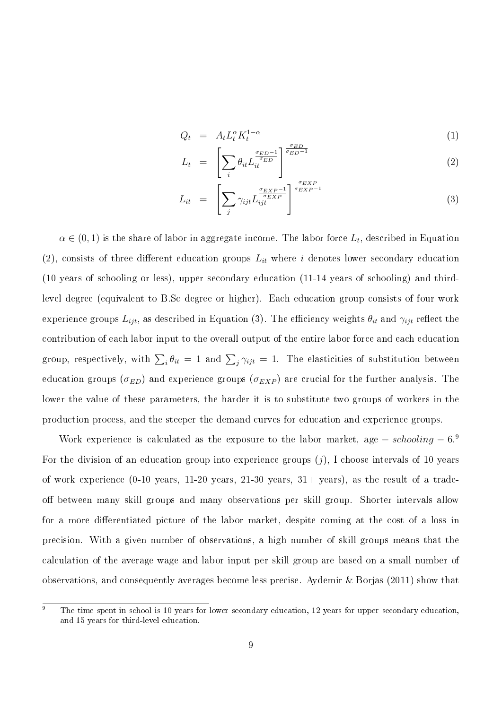$$
Q_t = A_t L_t^{\alpha} K_t^{1-\alpha} \tag{1}
$$

$$
L_t = \left[ \sum_i \theta_{it} L_{it}^{\frac{\sigma_{ED} - 1}{\sigma_{ED}}} \right]^{\frac{\sigma_{ED}}{\sigma_{ED} - 1}}
$$
(2)

$$
L_{it} = \left[ \sum_{j} \gamma_{ijt} L_{ijt}^{\frac{\sigma_{EXP}-1}{\sigma_{EXP}}} \right]^{\frac{\sigma_{EXP}}{\sigma_{EXP}-1}} \tag{3}
$$

 $\alpha \in (0,1)$  is the share of labor in aggregate income. The labor force  $L_t,$  described in Equation (2), consists of three different education groups  $L_{it}$  where i denotes lower secondary education (10 years of schooling or less), upper secondary education (11-14 years of schooling) and thirdlevel degree (equivalent to B.Sc degree or higher). Each education group consists of four work experience groups  $L_{ijt}$ , as described in Equation (3). The efficiency weights  $\theta_{it}$  and  $\gamma_{ijt}$  reflect the contribution of each labor input to the overall output of the entire labor force and each education group, respectively, with  $\sum_i \theta_{it} = 1$  and  $\sum_j \gamma_{ijt} = 1$ . The elasticities of substitution between education groups ( $\sigma_{ED}$ ) and experience groups ( $\sigma_{EXP}$ ) are crucial for the further analysis. The lower the value of these parameters, the harder it is to substitute two groups of workers in the production process, and the steeper the demand curves for education and experience groups.

Work experience is calculated as the exposure to the labor market, age  $-$  schooling  $-6$ .<sup>9</sup> For the division of an education group into experience groups  $(i)$ , I choose intervals of 10 years of work experience  $(0-10 \text{ years}, 11-20 \text{ years}, 21-30 \text{ years}, 31+ \text{ years}),$  as the result of a tradeoff between many skill groups and many observations per skill group. Shorter intervals allow for a more differentiated picture of the labor market, despite coming at the cost of a loss in precision. With a given number of observations, a high number of skill groups means that the calculation of the average wage and labor input per skill group are based on a small number of observations, and consequently averages become less precise. Aydemir & Borjas (2011) show that

 $\overline{9}$  The time spent in school is 10 years for lower secondary education, 12 years for upper secondary education. and 15 years for third-level education.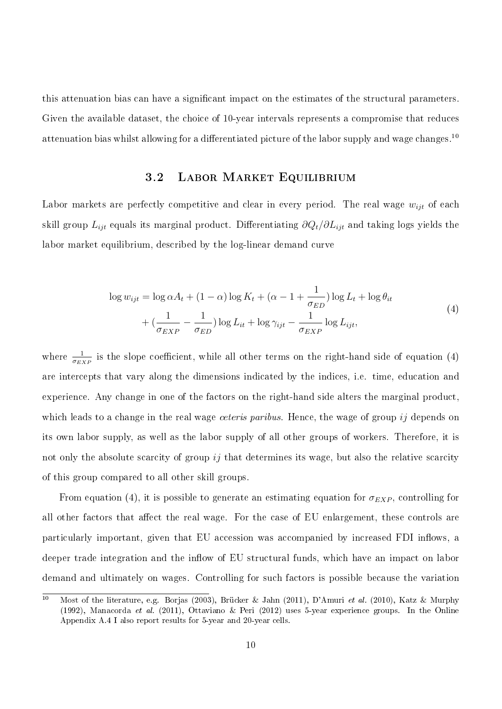this attenuation bias can have a signicant impact on the estimates of the structural parameters. Given the available dataset, the choice of 10-year intervals represents a compromise that reduces attenuation bias whilst allowing for a differentiated picture of the labor supply and wage changes.<sup>10</sup>

#### 3.2 Labor Market Equilibrium

Labor markets are perfectly competitive and clear in every period. The real wage  $w_{ijt}$  of each skill group  $L_{ijt}$  equals its marginal product. Differentiating  $\partial Q_t/\partial L_{ijt}$  and taking logs yields the labor market equilibrium, described by the log-linear demand curve

$$
\log w_{ijt} = \log \alpha A_t + (1 - \alpha) \log K_t + (\alpha - 1 + \frac{1}{\sigma_{ED}}) \log L_t + \log \theta_{it}
$$
  
+ 
$$
(\frac{1}{\sigma_{EXP}} - \frac{1}{\sigma_{ED}}) \log L_{it} + \log \gamma_{ijt} - \frac{1}{\sigma_{EXP}} \log L_{ijt},
$$
 (4)

where  $\frac{1}{\sigma_{EXP}}$  is the slope coefficient, while all other terms on the right-hand side of equation (4) are intercepts that vary along the dimensions indicated by the indices, i.e. time, education and experience. Any change in one of the factors on the right-hand side alters the marginal product, which leads to a change in the real wage *ceteris paribus*. Hence, the wage of group ij depends on its own labor supply, as well as the labor supply of all other groups of workers. Therefore, it is not only the absolute scarcity of group  $i\dot{j}$  that determines its wage, but also the relative scarcity of this group compared to all other skill groups.

From equation (4), it is possible to generate an estimating equation for  $\sigma_{EXP}$ , controlling for all other factors that affect the real wage. For the case of EU enlargement, these controls are particularly important, given that EU accession was accompanied by increased FDI inflows, a deeper trade integration and the inflow of EU structural funds, which have an impact on labor demand and ultimately on wages. Controlling for such factors is possible because the variation

<sup>10</sup> Most of the literature, e.g. Borjas (2003), Brücker & Jahn (2011), D'Amuri et al. (2010), Katz & Murphy (1992), Manacorda et al. (2011), Ottaviano & Peri (2012) uses 5-year experience groups. In the Online Appendix A.4 I also report results for 5-year and 20-year cells.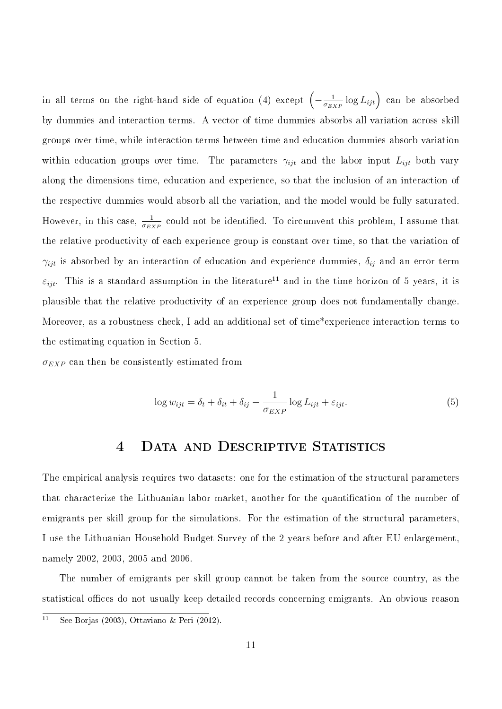in all terms on the right-hand side of equation (4) except  $\left(-\frac{1}{\sigma_{12}}\right)$  $\frac{1}{\sigma_{EXP}} \log L_{ijt}$ ) can be absorbed by dummies and interaction terms. A vector of time dummies absorbs all variation across skill groups over time, while interaction terms between time and education dummies absorb variation within education groups over time. The parameters  $\gamma_{ijt}$  and the labor input  $L_{ijt}$  both vary along the dimensions time, education and experience, so that the inclusion of an interaction of the respective dummies would absorb all the variation, and the model would be fully saturated. However, in this case,  $\frac{1}{\sigma_{EXP}}$  could not be identified. To circumvent this problem, I assume that the relative productivity of each experience group is constant over time, so that the variation of  $\gamma_{ijt}$  is absorbed by an interaction of education and experience dummies,  $\delta_{ij}$  and an error term  $\varepsilon_{ijt}$ . This is a standard assumption in the literature<sup>11</sup> and in the time horizon of 5 years, it is plausible that the relative productivity of an experience group does not fundamentally change. Moreover, as a robustness check, I add an additional set of time\*experience interaction terms to the estimating equation in Section 5.

 $\sigma_{EXP}$  can then be consistently estimated from

$$
\log w_{ijt} = \delta_t + \delta_{it} + \delta_{ij} - \frac{1}{\sigma_{EXP}} \log L_{ijt} + \varepsilon_{ijt}.
$$
\n(5)

## 4 DATA AND DESCRIPTIVE STATISTICS

The empirical analysis requires two datasets: one for the estimation of the structural parameters that characterize the Lithuanian labor market, another for the quantification of the number of emigrants per skill group for the simulations. For the estimation of the structural parameters, I use the Lithuanian Household Budget Survey of the 2 years before and after EU enlargement, namely 2002, 2003, 2005 and 2006.

The number of emigrants per skill group cannot be taken from the source country, as the statistical offices do not usually keep detailed records concerning emigrants. An obvious reason

<sup>&</sup>lt;sup>11</sup> See Borjas (2003), Ottaviano & Peri (2012).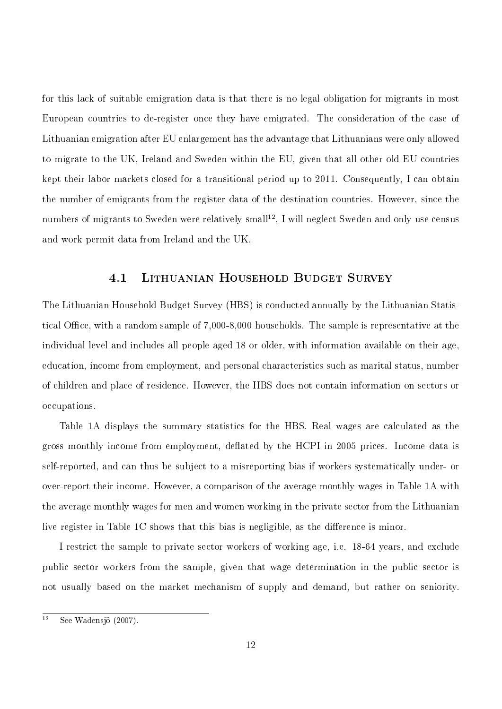for this lack of suitable emigration data is that there is no legal obligation for migrants in most European countries to de-register once they have emigrated. The consideration of the case of Lithuanian emigration after EU enlargement has the advantage that Lithuanians were only allowed to migrate to the UK, Ireland and Sweden within the EU, given that all other old EU countries kept their labor markets closed for a transitional period up to 2011. Consequently, I can obtain the number of emigrants from the register data of the destination countries. However, since the numbers of migrants to Sweden were relatively small<sup>12</sup>, I will neglect Sweden and only use census and work permit data from Ireland and the UK.

#### 4.1 Lithuanian Household Budget Survey

The Lithuanian Household Budget Survey (HBS) is conducted annually by the Lithuanian Statistical Office, with a random sample of  $7,000-8,000$  households. The sample is representative at the individual level and includes all people aged 18 or older, with information available on their age, education, income from employment, and personal characteristics such as marital status, number of children and place of residence. However, the HBS does not contain information on sectors or occupations.

Table 1A displays the summary statistics for the HBS. Real wages are calculated as the gross monthly income from employment, deflated by the HCPI in 2005 prices. Income data is self-reported, and can thus be subject to a misreporting bias if workers systematically under- or over-report their income. However, a comparison of the average monthly wages in Table 1A with the average monthly wages for men and women working in the private sector from the Lithuanian live register in Table  $1C$  shows that this bias is negligible, as the difference is minor.

I restrict the sample to private sector workers of working age, i.e. 18-64 years, and exclude public sector workers from the sample, given that wage determination in the public sector is not usually based on the market mechanism of supply and demand, but rather on seniority.

 $\overline{12}$  See Wadensjö (2007).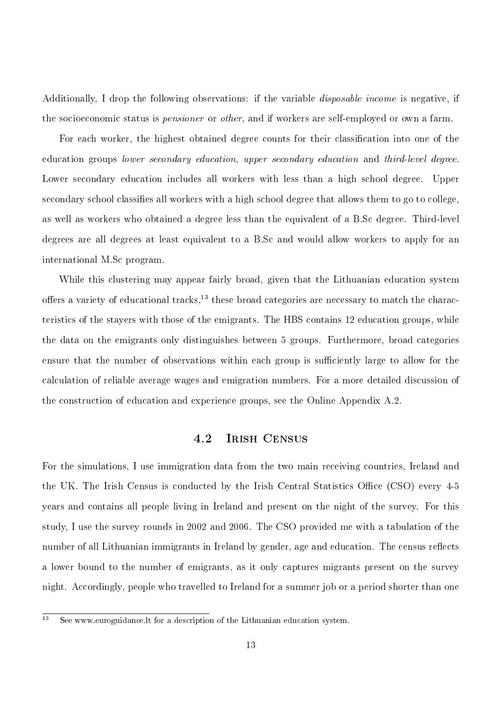Additionally. I drop the following observations: if the variable *disposable income* is negative, if the socioeconomic status is *pensioner* or *other*, and if workers are self-employed or own a farm.

For each worker, the highest obtained degree counts for their classification into one of the education groups lower secondary education, upper secondary education and third-level degree. Lower secondary education includes all workers with less than a high school degree. Upper secondary school classifies all workers with a high school degree that allows them to go to college. as well as workers who obtained a degree less than the equivalent of a B.Sc degree. Third-level degrees are all degrees at least equivalent to a B.Sc and would allow workers to apply for an international M.Sc program.

While this clustering may appear fairly broad, given that the Lithuanian education system offers a variety of educational tracks,<sup>13</sup> these broad categories are necessary to match the characteristics of the stayers with those of the emigrants. The HBS contains 12 education groups, while the data on the emigrants only distinguishes between 5 groups. Furthermore, broad categories ensure that the number of observations within each group is sufficiently large to allow for the calculation of reliable average wages and emigration numbers. For a more detailed discussion of the construction of education and experience groups, see the Online Appendix A.2.

#### 4.2 Irish Census

For the simulations, I use immigration data from the two main receiving countries, Ireland and the UK. The Irish Census is conducted by the Irish Central Statistics Office  $(CSO)$  every 4-5 years and contains all people living in Ireland and present on the night of the survey. For this study, I use the survey rounds in 2002 and 2006. The CSO provided me with a tabulation of the number of all Lithuanian immigrants in Ireland by gender, age and education. The census reflects a lower bound to the number of emigrants, as it only captures migrants present on the survey night. Accordingly, people who travelled to Ireland for a summer job or a period shorter than one

<sup>&</sup>lt;sup>13</sup> See www.euroguidance.lt for a description of the Lithuanian education system.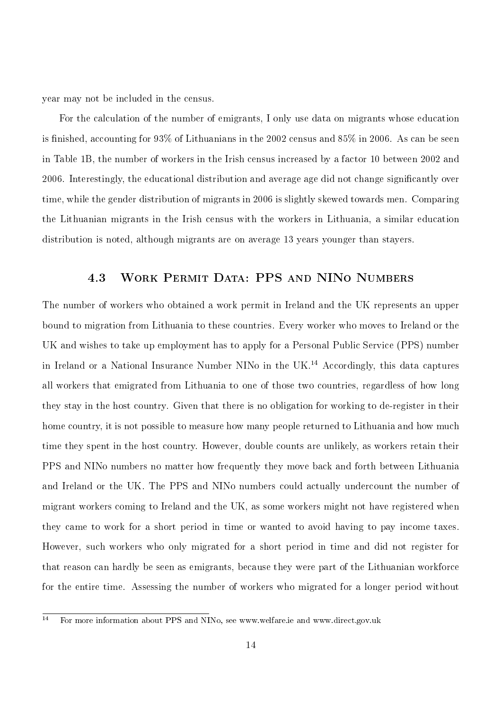year may not be included in the census.

For the calculation of the number of emigrants, I only use data on migrants whose education is finished, accounting for  $93\%$  of Lithuanians in the 2002 census and  $85\%$  in 2006. As can be seen in Table 1B, the number of workers in the Irish census increased by a factor 10 between 2002 and 2006. Interestingly, the educational distribution and average age did not change signicantly over time, while the gender distribution of migrants in 2006 is slightly skewed towards men. Comparing the Lithuanian migrants in the Irish census with the workers in Lithuania, a similar education distribution is noted, although migrants are on average 13 years younger than stayers.

## 4.3 Work Permit Data: PPS and NINo Numbers

The number of workers who obtained a work permit in Ireland and the UK represents an upper bound to migration from Lithuania to these countries. Every worker who moves to Ireland or the UK and wishes to take up employment has to apply for a Personal Public Service (PPS) number in Ireland or a National Insurance Number NINo in the UK.<sup>14</sup> Accordingly, this data captures all workers that emigrated from Lithuania to one of those two countries, regardless of how long they stay in the host country. Given that there is no obligation for working to de-register in their home country, it is not possible to measure how many people returned to Lithuania and how much time they spent in the host country. However, double counts are unlikely, as workers retain their PPS and NINo numbers no matter how frequently they move back and forth between Lithuania and Ireland or the UK. The PPS and NINo numbers could actually undercount the number of migrant workers coming to Ireland and the UK, as some workers might not have registered when they came to work for a short period in time or wanted to avoid having to pay income taxes. However, such workers who only migrated for a short period in time and did not register for that reason can hardly be seen as emigrants, because they were part of the Lithuanian workforce for the entire time. Assessing the number of workers who migrated for a longer period without

 $\overline{14}$  For more information about PPS and NINo, see www.welfare.ie and www.direct.gov.uk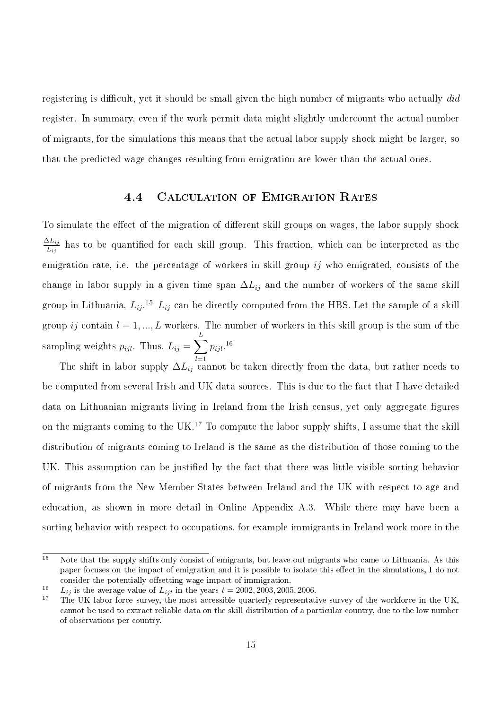registering is difficult, yet it should be small given the high number of migrants who actually  $did$ register. In summary, even if the work permit data might slightly undercount the actual number of migrants, for the simulations this means that the actual labor supply shock might be larger, so that the predicted wage changes resulting from emigration are lower than the actual ones.

#### 4.4 Calculation of Emigration Rates

To simulate the effect of the migration of different skill groups on wages, the labor supply shock  $\Delta L_{ij}$  $\frac{\Delta L_{ij}}{L_{ij}}$  has to be quantified for each skill group. This fraction, which can be interpreted as the emigration rate, i.e. the percentage of workers in skill group  $ij$  who emigrated, consists of the change in labor supply in a given time span  $\Delta L_{ij}$  and the number of workers of the same skill group in Lithuania,  $L_{ij}$ .<sup>15</sup>  $L_{ij}$  can be directly computed from the HBS. Let the sample of a skill group ij contain  $l = 1, ..., L$  workers. The number of workers in this skill group is the sum of the sampling weights  $p_{ijl}$ . Thus,  $L_{ij} = \sum_{l}$ L  $p_{ijl}.^{\,\,16}$ 

 $_{l=1}$ The shift in labor supply  $\Delta L_{ij}$  cannot be taken directly from the data, but rather needs to be computed from several Irish and UK data sources. This is due to the fact that I have detailed data on Lithuanian migrants living in Ireland from the Irish census, yet only aggregate figures on the migrants coming to the UK.<sup>17</sup> To compute the labor supply shifts, I assume that the skill distribution of migrants coming to Ireland is the same as the distribution of those coming to the UK. This assumption can be justified by the fact that there was little visible sorting behavior of migrants from the New Member States between Ireland and the UK with respect to age and education, as shown in more detail in Online Appendix A.3. While there may have been a sorting behavior with respect to occupations, for example immigrants in Ireland work more in the

 $\overline{15}$  Note that the supply shifts only consist of emigrants, but leave out migrants who came to Lithuania. As this paper focuses on the impact of emigration and it is possible to isolate this effect in the simulations, I do not consider the potentially offsetting wage impact of immigration.

<sup>&</sup>lt;sup>16</sup>  $L_{ij}$  is the average value of  $L_{ijt}$  in the years  $t = 2002, 2003, 2005, 2006$ .

<sup>17</sup> The UK labor force survey, the most accessible quarterly representative survey of the workforce in the UK, cannot be used to extract reliable data on the skill distribution of a particular country, due to the low number of observations per country.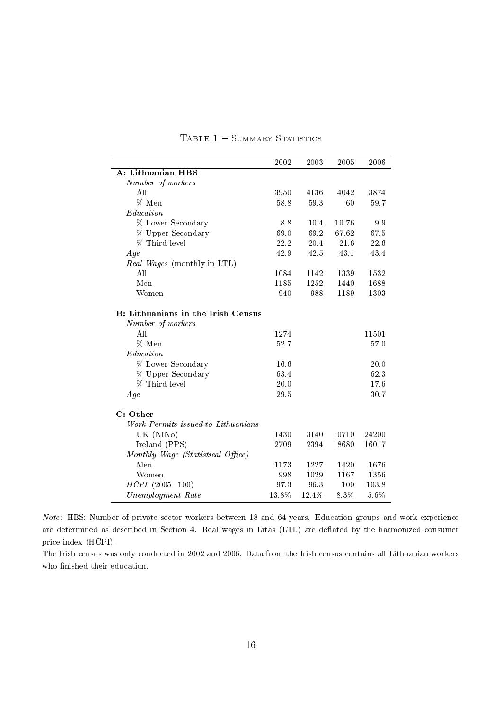|                                           | 2002  | 2003  | 2005  | 2006  |
|-------------------------------------------|-------|-------|-------|-------|
| A: Lithuanian HBS                         |       |       |       |       |
| Number of workers                         |       |       |       |       |
| All                                       | 3950  | 4136  | 4042  | 3874  |
| % Men                                     | 58.8  | 59.3  | 60    | 59.7  |
| Education                                 |       |       |       |       |
| % Lower Secondary                         | 8.8   | 10.4  | 10.76 | 9.9   |
| % Upper Secondary                         | 69.0  | 69.2  | 67.62 | 67.5  |
| % Third-level                             | 22.2  | 20.4  | 21.6  | 22.6  |
| Age                                       | 42.9  | 42.5  | 43.1  | 43.4  |
| Real Wages (monthly in LTL)               |       |       |       |       |
| All                                       | 1084  | 1142  | 1339  | 1532  |
| Men                                       | 1185  | 1252  | 1440  | 1688  |
| Women                                     | 940   | 988   | 1189  | 1303  |
| <b>B:</b> Lithuanians in the Irish Census |       |       |       |       |
| Number of workers                         |       |       |       |       |
| All                                       | 1274  |       |       | 11501 |
| % Men                                     | 52.7  |       |       | 57.0  |
| Education                                 |       |       |       |       |
| % Lower Secondary                         | 16.6  |       |       | 20.0  |
| % Upper Secondary                         | 63.4  |       |       | 62.3  |
| % Third-level                             | 20.0  |       |       | 17.6  |
| Age                                       | 29.5  |       |       | 30.7  |
| C: Other                                  |       |       |       |       |
| Work Permits issued to Lithuanians        |       |       |       |       |
| UK (NINo)                                 | 1430  | 3140  | 10710 | 24200 |
| Ireland (PPS)                             | 2709  | 2394  | 18680 | 16017 |
| Monthly Wage (Statistical Office)         |       |       |       |       |
| Men                                       | 1173  | 1227  | 1420  | 1676  |
| Women                                     | 998   | 1029  | 1167  | 1356  |
| $H CPI (2005 = 100)$                      | 97.3  | 96.3  | 100   | 103.8 |
| Unemployment Rate                         | 13.8% | 12.4% | 8.3%  | 5.6%  |

#### TABLE  $1 -$  SUMMARY STATISTICS

Note: HBS: Number of private sector workers between 18 and 64 years. Education groups and work experience are determined as described in Section 4. Real wages in Litas (LTL) are deflated by the harmonized consumer price index (HCPI).

The Irish census was only conducted in 2002 and 2006. Data from the Irish census contains all Lithuanian workers who finished their education.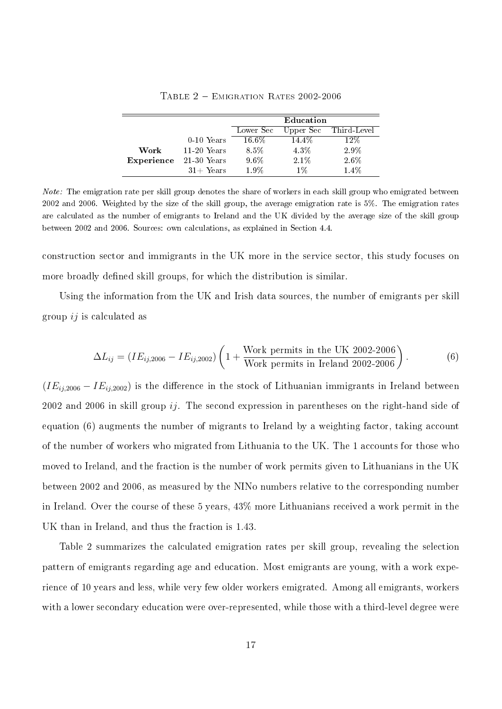|            |               | Education |           |             |  |
|------------|---------------|-----------|-----------|-------------|--|
|            |               | Lower Sec | Upper Sec | Third-Level |  |
|            | $0-10$ Years  | $16.6\%$  | 14.4%     | 12%         |  |
| Work       | $11-20$ Years | 8.5%      | 4.3%      | 2.9%        |  |
| Experience | $21-30$ Years | $9.6\%$   | $2.1\%$   | 2.6%        |  |
|            | $31 +$ Years  | 1.9%      | $1\%$     | $1.4\%$     |  |

Table 2 Emigration Rates 2002-2006

Note: The emigration rate per skill group denotes the share of workers in each skill group who emigrated between 2002 and 2006. Weighted by the size of the skill group, the average emigration rate is 5%. The emigration rates are calculated as the number of emigrants to Ireland and the UK divided by the average size of the skill group between 2002 and 2006. Sources: own calculations, as explained in Section 4.4.

construction sector and immigrants in the UK more in the service sector, this study focuses on more broadly defined skill groups, for which the distribution is similar.

Using the information from the UK and Irish data sources, the number of emigrants per skill group  $ij$  is calculated as

$$
\Delta L_{ij} = (IE_{ij,2006} - IE_{ij,2002}) \left( 1 + \frac{\text{Work permits in the UK } 2002-2006}{\text{Work permits in Ireland } 2002-2006} \right). \tag{6}
$$

 $(IE_{ij,2006} - IE_{ij,2002})$  is the difference in the stock of Lithuanian immigrants in Ireland between 2002 and 2006 in skill group  $i\dot{j}$ . The second expression in parentheses on the right-hand side of equation (6) augments the number of migrants to Ireland by a weighting factor, taking account of the number of workers who migrated from Lithuania to the UK. The 1 accounts for those who moved to Ireland, and the fraction is the number of work permits given to Lithuanians in the UK between 2002 and 2006, as measured by the NINo numbers relative to the corresponding number in Ireland. Over the course of these 5 years, 43% more Lithuanians received a work permit in the UK than in Ireland, and thus the fraction is 1.43.

Table 2 summarizes the calculated emigration rates per skill group, revealing the selection pattern of emigrants regarding age and education. Most emigrants are young, with a work experience of 10 years and less, while very few older workers emigrated. Among all emigrants, workers with a lower secondary education were over-represented, while those with a third-level degree were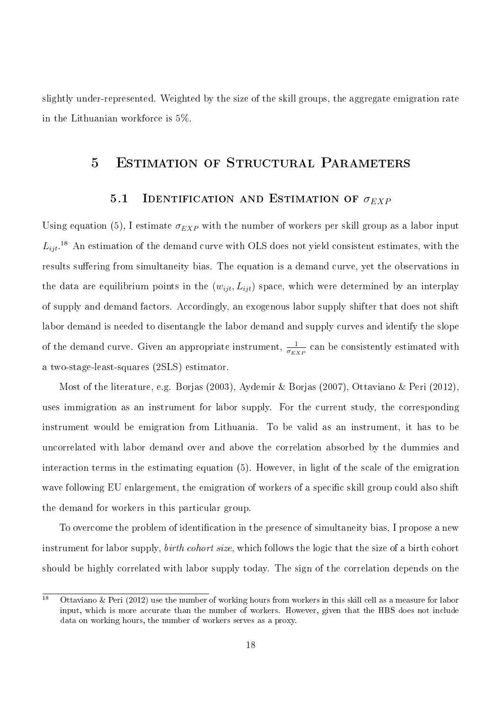slightly under-represented. Weighted by the size of the skill groups, the aggregate emigration rate in the Lithuanian workforce is 5%.

## 5 Estimation of Structural Parameters

#### 5.1 IDENTIFICATION AND ESTIMATION OF  $\sigma_{EXP}$

Using equation (5), I estimate  $\sigma_{EXP}$  with the number of workers per skill group as a labor input  $L_{ijt}$ .<sup>18</sup> An estimation of the demand curve with OLS does not yield consistent estimates, with the results suffering from simultaneity bias. The equation is a demand curve, yet the observations in the data are equilibrium points in the  $(w_{ijt}, L_{ijt})$  space, which were determined by an interplay of supply and demand factors. Accordingly, an exogenous labor supply shifter that does not shift labor demand is needed to disentangle the labor demand and supply curves and identify the slope of the demand curve. Given an appropriate instrument,  $\frac{1}{\sigma_{EXP}}$  can be consistently estimated with a two-stage-least-squares (2SLS) estimator.

Most of the literature, e.g. Borjas (2003), Aydemir & Borjas (2007), Ottaviano & Peri (2012), uses immigration as an instrument for labor supply. For the current study, the corresponding instrument would be emigration from Lithuania. To be valid as an instrument, it has to be uncorrelated with labor demand over and above the correlation absorbed by the dummies and interaction terms in the estimating equation (5). However, in light of the scale of the emigration wave following EU enlargement, the emigration of workers of a specific skill group could also shift the demand for workers in this particular group.

To overcome the problem of identification in the presence of simultaneity bias, I propose a new instrument for labor supply, birth cohort size, which follows the logic that the size of a birth cohort should be highly correlated with labor supply today. The sign of the correlation depends on the

 $\overline{18}$  Ottaviano & Peri (2012) use the number of working hours from workers in this skill cell as a measure for labor input, which is more accurate than the number of workers. However, given that the HBS does not include data on working hours, the number of workers serves as a proxy.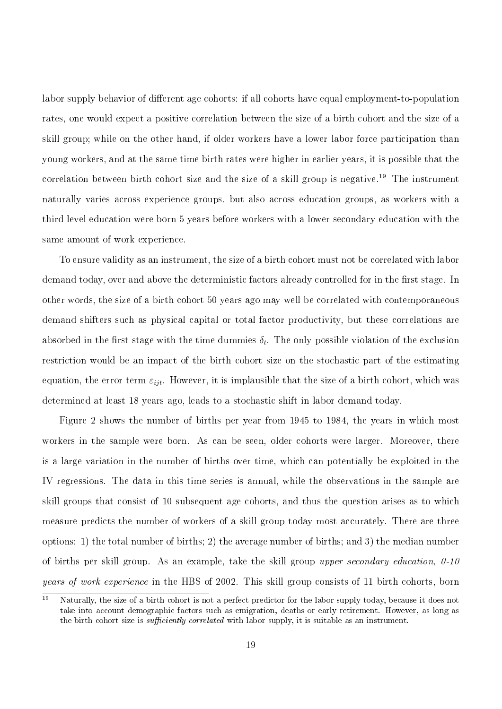labor supply behavior of different age cohorts: if all cohorts have equal employment-to-population rates, one would expect a positive correlation between the size of a birth cohort and the size of a skill group; while on the other hand, if older workers have a lower labor force participation than young workers, and at the same time birth rates were higher in earlier years, it is possible that the correlation between birth cohort size and the size of a skill group is negative.<sup>19</sup> The instrument naturally varies across experience groups, but also across education groups, as workers with a third-level education were born 5 years before workers with a lower secondary education with the same amount of work experience.

To ensure validity as an instrument, the size of a birth cohort must not be correlated with labor demand today, over and above the deterministic factors already controlled for in the first stage. In other words, the size of a birth cohort 50 years ago may well be correlated with contemporaneous demand shifters such as physical capital or total factor productivity, but these correlations are absorbed in the first stage with the time dummies  $\delta_t.$  The only possible violation of the exclusion restriction would be an impact of the birth cohort size on the stochastic part of the estimating equation, the error term  $\varepsilon_{ijt}$ . However, it is implausible that the size of a birth cohort, which was determined at least 18 years ago, leads to a stochastic shift in labor demand today.

Figure 2 shows the number of births per year from 1945 to 1984, the years in which most workers in the sample were born. As can be seen, older cohorts were larger. Moreover, there is a large variation in the number of births over time, which can potentially be exploited in the IV regressions. The data in this time series is annual, while the observations in the sample are skill groups that consist of 10 subsequent age cohorts, and thus the question arises as to which measure predicts the number of workers of a skill group today most accurately. There are three options: 1) the total number of births; 2) the average number of births; and 3) the median number of births per skill group. As an example, take the skill group upper secondary education,  $0-10$ years of work experience in the HBS of 2002. This skill group consists of 11 birth cohorts, born

 $\frac{19}{19}$  Naturally, the size of a birth cohort is not a perfect predictor for the labor supply today, because it does not take into account demographic factors such as emigration, deaths or early retirement. However, as long as the birth cohort size is *sufficiently correlated* with labor supply, it is suitable as an instrument.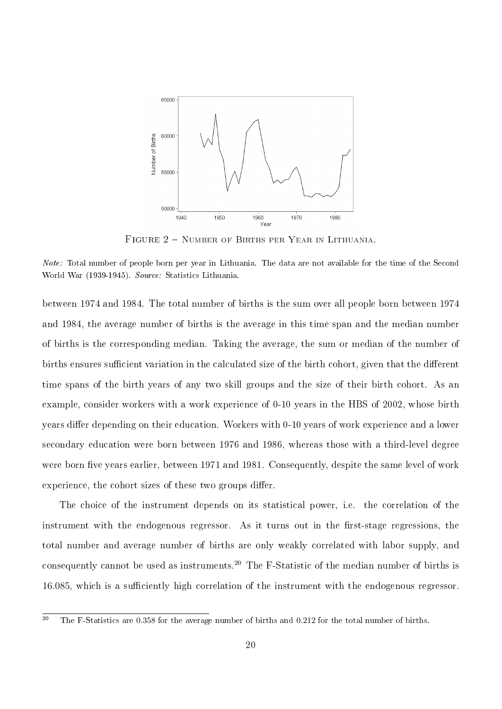

Figure 2 Number of Births per Year in Lithuania.

Note: Total number of people born per year in Lithuania. The data are not available for the time of the Second World War (1939-1945). Source: Statistics Lithuania.

between 1974 and 1984. The total number of births is the sum over all people born between 1974 and 1984, the average number of births is the average in this time span and the median number of births is the corresponding median. Taking the average, the sum or median of the number of births ensures sufficient variation in the calculated size of the birth cohort, given that the different time spans of the birth years of any two skill groups and the size of their birth cohort. As an example, consider workers with a work experience of 0-10 years in the HBS of 2002, whose birth years differ depending on their education. Workers with 0-10 years of work experience and a lower secondary education were born between 1976 and 1986, whereas those with a third-level degree were born five years earlier, between 1971 and 1981. Consequently, despite the same level of work experience, the cohort sizes of these two groups differ.

The choice of the instrument depends on its statistical power, i.e. the correlation of the instrument with the endogenous regressor. As it turns out in the first-stage regressions, the total number and average number of births are only weakly correlated with labor supply, and consequently cannot be used as instruments.<sup>20</sup> The F-Statistic of the median number of births is 16.085, which is a sufficiently high correlation of the instrument with the endogenous regressor.

 $\overline{20}$  The F-Statistics are 0.358 for the average number of births and 0.212 for the total number of births.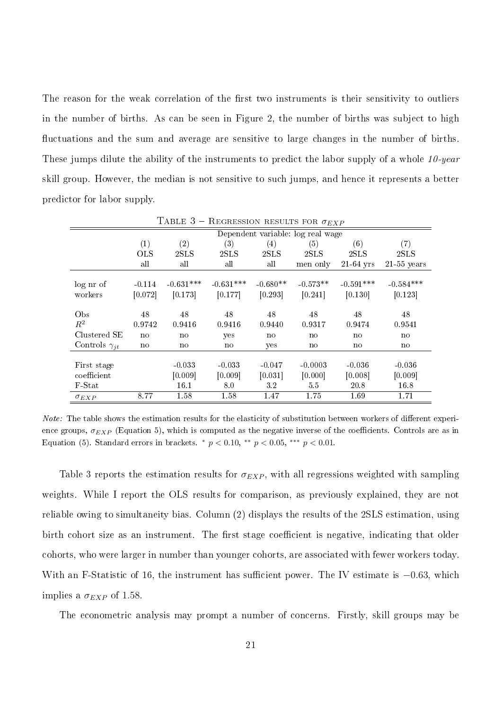The reason for the weak correlation of the first two instruments is their sensitivity to outliers in the number of births. As can be seen in Figure 2, the number of births was subject to high uctuations and the sum and average are sensitive to large changes in the number of births. These jumps dilute the ability of the instruments to predict the labor supply of a whole 10-year skill group. However, the median is not sensitive to such jumps, and hence it represents a better predictor for labor supply.

| <b>TABLE 5 – REGRESSION RESULTS FOR <math>\sigma_{EXP}</math></b> |                                   |             |             |            |              |             |               |
|-------------------------------------------------------------------|-----------------------------------|-------------|-------------|------------|--------------|-------------|---------------|
|                                                                   | Dependent variable: log real wage |             |             |            |              |             |               |
|                                                                   | (1)                               | (2)         | (3)         | (4)        | (5)          | (6)         | (7)           |
|                                                                   | <b>OLS</b>                        | 2SLS        | 2SLS        | 2SLS       | 2SLS         | 2SLS        | 2SLS          |
|                                                                   | all                               | all         | all         | all        | men only     | $21-64$ yrs | $21-55$ years |
| log nr of                                                         | $-0.114$                          | $-0.631***$ | $-0.631***$ | $-0.680**$ | $-0.573**$   | $-0.591***$ | $-0.584***$   |
| workers                                                           | [0.072]                           | [0.173]     | [0.177]     | [0.293]    | [0.241]      | [0.130]     | [0.123]       |
|                                                                   |                                   |             |             |            |              |             |               |
| Obs                                                               | 48                                | 48          | 48          | 48         | 48           | 48          | 48            |
| $R^2$                                                             | 0.9742                            | 0.9416      | 0.9416      | 0.9440     | 0.9317       | 0.9474      | 0.9541        |
| Clustered SE                                                      | no                                | no          | yes         | no         | no           | no          | $\mathbf{n}$  |
| Controls $\gamma_{it}$                                            | no                                | no          | no          | yes        | $\mathbf{n}$ | no          | $\mathbf{n}$  |
|                                                                   |                                   |             |             |            |              |             |               |
| First stage                                                       |                                   | $-0.033$    | $-0.033$    | $-0.047$   | $-0.0003$    | $-0.036$    | $-0.036$      |
| coefficient                                                       |                                   | [0.009]     | [0.009]     | [0.031]    | [0.000]      | [0.008]     | [0.009]       |
| F-Stat                                                            |                                   | 16.1        | 8.0         | 3.2        | 55           | 20.8        | 16.8          |
| $\sigma_{EXP}$                                                    | 8.77                              | 1.58        | 1.58        | 1.47       | 1.75         | 1.69        | 1.71          |

T<sub>A</sub>DIE 3 DEGERSION RESULTS FOR

Note: The table shows the estimation results for the elasticity of substitution between workers of different experience groups,  $\sigma_{EXP}$  (Equation 5), which is computed as the negative inverse of the coefficients. Controls are as in Equation (5). Standard errors in brackets.  $*$   $p < 0.10, **$   $p < 0.05,***$   $p < 0.01$ .

Table 3 reports the estimation results for  $\sigma_{EXP}$ , with all regressions weighted with sampling weights. While I report the OLS results for comparison, as previously explained, they are not reliable owing to simultaneity bias. Column (2) displays the results of the 2SLS estimation, using birth cohort size as an instrument. The first stage coefficient is negative, indicating that older cohorts, who were larger in number than younger cohorts, are associated with fewer workers today. With an F-Statistic of 16, the instrument has sufficient power. The IV estimate is  $-0.63$ , which implies a  $\sigma_{EXP}$  of 1.58.

The econometric analysis may prompt a number of concerns. Firstly, skill groups may be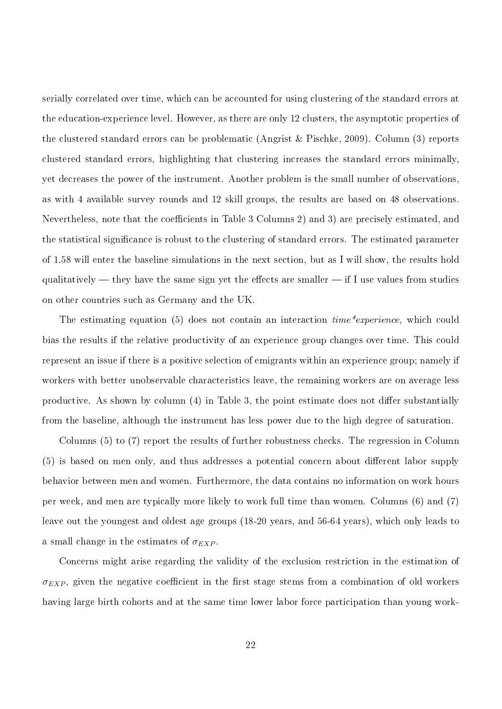serially correlated over time, which can be accounted for using clustering of the standard errors at the education-experience level. However, as there are only 12 clusters, the asymptotic properties of the clustered standard errors can be problematic (Angrist & Pischke, 2009). Column (3) reports clustered standard errors, highlighting that clustering increases the standard errors minimally, yet decreases the power of the instrument. Another problem is the small number of observations, as with 4 available survey rounds and 12 skill groups, the results are based on 48 observations. Nevertheless, note that the coefficients in Table 3 Columns 2) and 3) are precisely estimated, and the statistical signicance is robust to the clustering of standard errors. The estimated parameter of 1.58 will enter the baseline simulations in the next section, but as I will show, the results hold qualitatively  $-$  they have the same sign yet the effects are smaller  $-$  if I use values from studies on other countries such as Germany and the UK.

The estimating equation (5) does not contain an interaction  $time^* experience$ , which could bias the results if the relative productivity of an experience group changes over time. This could represent an issue if there is a positive selection of emigrants within an experience group; namely if workers with better unobservable characteristics leave, the remaining workers are on average less productive. As shown by column  $(4)$  in Table 3, the point estimate does not differ substantially from the baseline, although the instrument has less power due to the high degree of saturation.

Columns (5) to (7) report the results of further robustness checks. The regression in Column (5) is based on men only, and thus addresses a potential concern about different labor supply behavior between men and women. Furthermore, the data contains no information on work hours per week, and men are typically more likely to work full time than women. Columns (6) and (7) leave out the youngest and oldest age groups (18-20 years, and 56-64 years), which only leads to a small change in the estimates of  $\sigma_{EXP}$ .

Concerns might arise regarding the validity of the exclusion restriction in the estimation of  $\sigma_{EXP}$ , given the negative coefficient in the first stage stems from a combination of old workers having large birth cohorts and at the same time lower labor force participation than young work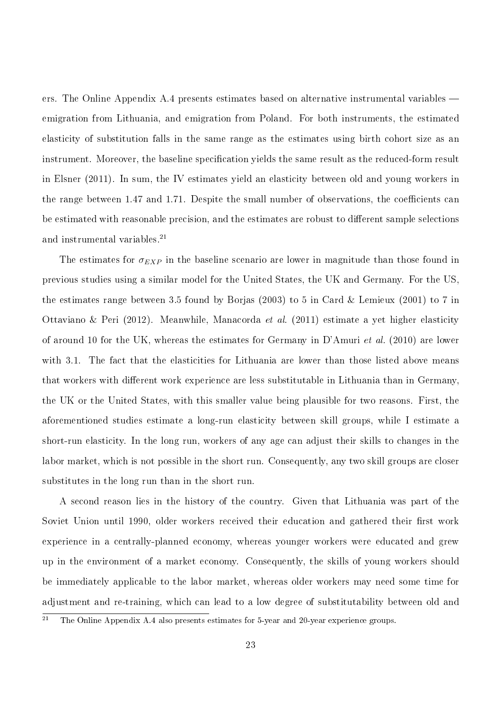ers. The Online Appendix A.4 presents estimates based on alternative instrumental variables emigration from Lithuania, and emigration from Poland. For both instruments, the estimated elasticity of substitution falls in the same range as the estimates using birth cohort size as an instrument. Moreover, the baseline specification yields the same result as the reduced-form result in Elsner (2011). In sum, the IV estimates yield an elasticity between old and young workers in the range between 1.47 and 1.71. Despite the small number of observations, the coefficients can be estimated with reasonable precision, and the estimates are robust to different sample selections and instrumental variables.<sup>21</sup>

The estimates for  $\sigma_{EXP}$  in the baseline scenario are lower in magnitude than those found in previous studies using a similar model for the United States, the UK and Germany. For the US, the estimates range between 3.5 found by Borjas (2003) to 5 in Card & Lemieux (2001) to 7 in Ottaviano & Peri (2012). Meanwhile, Manacorda et al. (2011) estimate a yet higher elasticity of around 10 for the UK, whereas the estimates for Germany in D'Amuri *et al.* (2010) are lower with 3.1. The fact that the elasticities for Lithuania are lower than those listed above means that workers with different work experience are less substitutable in Lithuania than in Germany, the UK or the United States, with this smaller value being plausible for two reasons. First, the aforementioned studies estimate a long-run elasticity between skill groups, while I estimate a short-run elasticity. In the long run, workers of any age can adjust their skills to changes in the labor market, which is not possible in the short run. Consequently, any two skill groups are closer substitutes in the long run than in the short run.

A second reason lies in the history of the country. Given that Lithuania was part of the Soviet Union until 1990, older workers received their education and gathered their first work experience in a centrally-planned economy, whereas younger workers were educated and grew up in the environment of a market economy. Consequently, the skills of young workers should be immediately applicable to the labor market, whereas older workers may need some time for adjustment and re-training, which can lead to a low degree of substitutability between old and

<sup>&</sup>lt;sup>21</sup> The Online Appendix A.4 also presents estimates for 5-year and 20-year experience groups.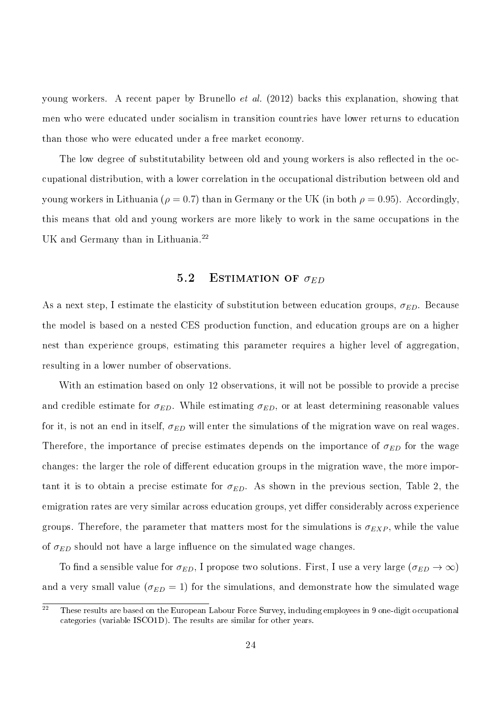young workers. A recent paper by Brunello et al. (2012) backs this explanation, showing that men who were educated under socialism in transition countries have lower returns to education than those who were educated under a free market economy.

The low degree of substitutability between old and young workers is also reflected in the occupational distribution, with a lower correlation in the occupational distribution between old and young workers in Lithuania ( $\rho = 0.7$ ) than in Germany or the UK (in both  $\rho = 0.95$ ). Accordingly, this means that old and young workers are more likely to work in the same occupations in the UK and Germany than in Lithuania.<sup>22</sup>

#### 5.2 ESTIMATION OF  $\sigma_{ED}$

As a next step, I estimate the elasticity of substitution between education groups,  $\sigma_{ED}$ . Because the model is based on a nested CES production function, and education groups are on a higher nest than experience groups, estimating this parameter requires a higher level of aggregation, resulting in a lower number of observations.

With an estimation based on only 12 observations, it will not be possible to provide a precise and credible estimate for  $\sigma_{ED}$ . While estimating  $\sigma_{ED}$ , or at least determining reasonable values for it, is not an end in itself,  $\sigma_{ED}$  will enter the simulations of the migration wave on real wages. Therefore, the importance of precise estimates depends on the importance of  $\sigma_{ED}$  for the wage changes: the larger the role of different education groups in the migration wave, the more important it is to obtain a precise estimate for  $\sigma_{ED}$ . As shown in the previous section, Table 2, the emigration rates are very similar across education groups, yet differ considerably across experience groups. Therefore, the parameter that matters most for the simulations is  $\sigma_{EXP}$ , while the value of  $\sigma_{ED}$  should not have a large influence on the simulated wage changes.

To find a sensible value for  $\sigma_{ED}$ , I propose two solutions. First, I use a very large  $(\sigma_{ED} \to \infty)$ and a very small value ( $\sigma_{ED} = 1$ ) for the simulations, and demonstrate how the simulated wage

 $\overline{22}$  These results are based on the European Labour Force Survey, including employees in 9 one-digit occupational categories (variable ISCO1D). The results are similar for other years.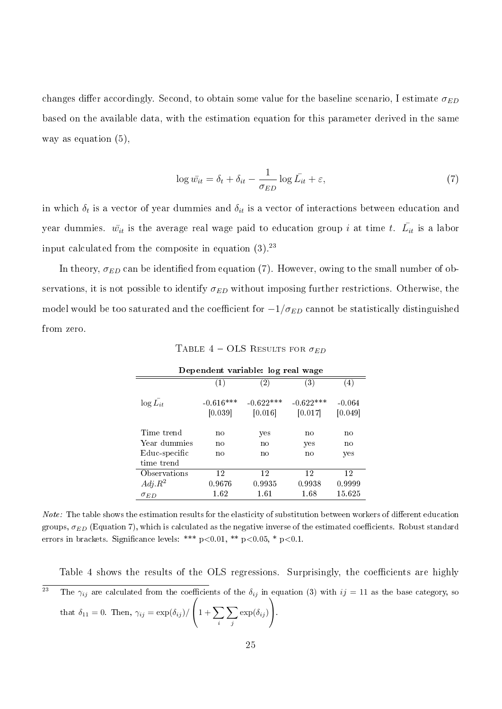changes differ accordingly. Second, to obtain some value for the baseline scenario, I estimate  $\sigma_{ED}$ based on the available data, with the estimation equation for this parameter derived in the same way as equation (5),

$$
\log \bar{w_{it}} = \delta_t + \delta_{it} - \frac{1}{\sigma_{ED}} \log \bar{L_{it}} + \varepsilon,\tag{7}
$$

in which  $\delta_t$  is a vector of year dummies and  $\delta_{it}$  is a vector of interactions between education and year dummies.  $\bar{w_{it}}$  is the average real wage paid to education group  $i$  at time  $t$ .  $\bar{L_{it}}$  is a labor input calculated from the composite in equation  $(3).^{23}$ 

In theory,  $\sigma_{ED}$  can be identified from equation (7). However, owing to the small number of observations, it is not possible to identify  $\sigma_{ED}$  without imposing further restrictions. Otherwise, the model would be too saturated and the coefficient for  $-1/\sigma_{ED}$  cannot be statistically distinguished from zero.

| Dependent variable: log real wage |                        |                        |                        |                     |  |  |
|-----------------------------------|------------------------|------------------------|------------------------|---------------------|--|--|
|                                   | (1)                    | $\left( 2\right)$      | $\left( 3\right)$      | (4)                 |  |  |
| $\log L_{it}$                     | $-0.616***$<br>[0.039] | $-0.622***$<br>[0.016] | $-0.622***$<br>[0.017] | $-0.064$<br>[0.049] |  |  |
| Time trend                        | no                     | yes                    | no                     | no                  |  |  |
| Year dummies                      | no                     | no                     | yes                    | no                  |  |  |
| Educ-specific                     | no                     | no                     | no                     | yes                 |  |  |
| time trend                        |                        |                        |                        |                     |  |  |
| Observations                      | 12                     | 12                     | 12                     | 12                  |  |  |
| $Adj.R^2$                         | 0.9676                 | 0.9935                 | 0.9938                 | 0.9999              |  |  |
| $\sigma_{ED}$                     | 1.62                   | 1.61                   | 1.68                   | 15.625              |  |  |

TABLE  $4$  – OLS RESULTS FOR  $\sigma_{ED}$ 

Note: The table shows the estimation results for the elasticity of substitution between workers of different education groups,  $\sigma_{ED}$  (Equation 7), which is calculated as the negative inverse of the estimated coefficients. Robust standard errors in brackets. Significance levels: \*\*\*  $p<0.01$ , \*\*  $p<0.05$ , \*  $p<0.1$ .

Table 4 shows the results of the OLS regressions. Surprisingly, the coefficients are highly <sup>23</sup> The  $\gamma_{ij}$  are calculated from the coefficients of the  $\delta_{ij}$  in equation (3) with  $ij = 11$  as the base category, so

that 
$$
\delta_{11} = 0
$$
. Then,  $\gamma_{ij} = \exp(\delta_{ij}) / \left(1 + \sum_{i} \sum_{j} \exp(\delta_{ij})\right)$ .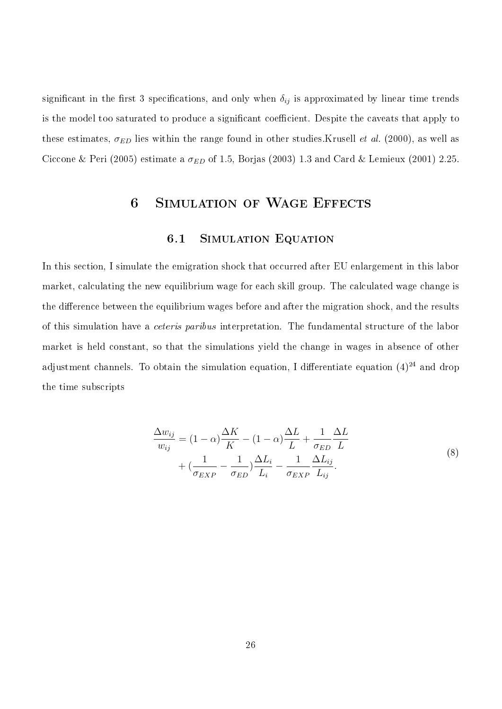significant in the first 3 specifications, and only when  $\delta_{ij}$  is approximated by linear time trends is the model too saturated to produce a significant coefficient. Despite the caveats that apply to these estimates,  $\sigma_{ED}$  lies within the range found in other studies. Krusell *et al.* (2000), as well as Ciccone & Peri (2005) estimate a  $\sigma_{ED}$  of 1.5, Borjas (2003) 1.3 and Card & Lemieux (2001) 2.25.

## 6 Simulation of Wage Effects

#### 6.1 Simulation Equation

In this section, I simulate the emigration shock that occurred after EU enlargement in this labor market, calculating the new equilibrium wage for each skill group. The calculated wage change is the difference between the equilibrium wages before and after the migration shock, and the results of this simulation have a ceteris paribus interpretation. The fundamental structure of the labor market is held constant, so that the simulations yield the change in wages in absence of other adjustment channels. To obtain the simulation equation, I differentiate equation  $(4)^{24}$  and drop the time subscripts

$$
\frac{\Delta w_{ij}}{w_{ij}} = (1 - \alpha) \frac{\Delta K}{K} - (1 - \alpha) \frac{\Delta L}{L} + \frac{1}{\sigma_{ED}} \frac{\Delta L}{L} + \frac{1}{\sigma_{ED}} \frac{\Delta L}{L} + \left(\frac{1}{\sigma_{EXP}} - \frac{1}{\sigma_{ED}}\right) \frac{\Delta L_i}{L_i} - \frac{1}{\sigma_{EXP}} \frac{\Delta L_{ij}}{L_{ij}}.
$$
\n(8)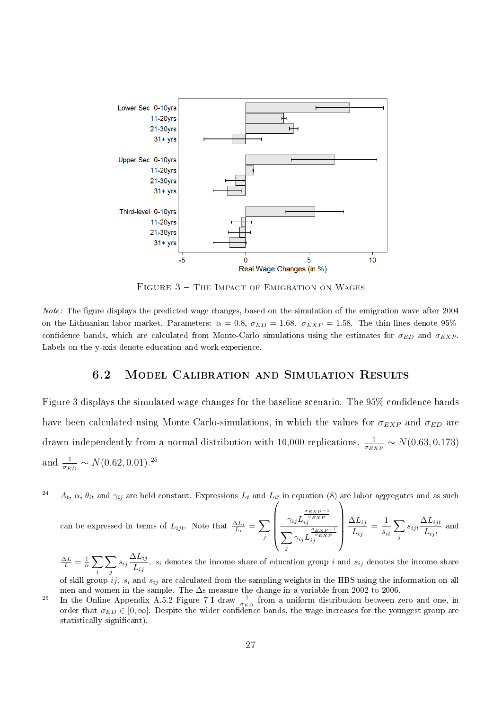

FIGURE 3 - THE IMPACT OF EMIGRATION ON WAGES

Note: The figure displays the predicted wage changes, based on the simulation of the emigration wave after 2004 on the Lithuanian labor market. Parameters:  $\alpha = 0.8$ ,  $\sigma_{ED} = 1.68$ .  $\sigma_{EXP} = 1.58$ . The thin lines denote 95%confidence bands, which are calculated from Monte-Carlo simulations using the estimates for  $\sigma_{ED}$  and  $\sigma_{EXP}$ . Labels on the y-axis denote education and work experience.

#### 6.2 Model Calibration and Simulation Results

Figure 3 displays the simulated wage changes for the baseline scenario. The  $95\%$  confidence bands have been calculated using Monte Carlo-simulations, in which the values for  $\sigma_{EXP}$  and  $\sigma_{ED}$  are drawn independently from a normal distribution with 10,000 replications,  $\frac{1}{\sigma_{EXP}} \sim N(0.63, 0.173)$ and  $\frac{1}{\sigma_{ED}} \sim N(0.62, 0.01).^{25}$ 

 $\overline{a_4}$   $A_t$ ,  $\alpha$ ,  $\theta_{it}$  and  $\gamma_{ij}$  are held constant. Expressions  $L_t$  and  $L_{it}$  in equation (8) are labor aggregates and as such

can be expressed in terms of  $L_{ijt}$ . Note that  $\frac{\Delta L_i}{L_i} = \sum$ j  $\sqrt{ }$  $\begin{array}{c}\gamma_{ij} L_{ij}^{\frac{\sigma_{EXP}-1}{\sigma_{EXP}}} \ \frac{\gamma_{ij}}{\sum \gamma_{ij} L_{ij}^{\frac{\sigma_{EXP}}{\sigma_{EN}}} } \end{array}$  $\sum$ j  $\gamma_{ij} L_{ij}^{\frac{\sigma_{EXP}-1}{\sigma_{EXP}}}$  $\setminus$  $\left| \frac{\Delta L_{ij}}{L_{ij}} \right|$  $\frac{\Delta L_{ij}}{L_{ij}} = \frac{1}{s_i}$ sit  $\sum$ j  $s_{ijt} \frac{\Delta L_{ijt}}{I}$  $\frac{2\text{Li}_j t}{L_{ijt}}$  and

 $\frac{\Delta L}{L} = \frac{1}{\alpha} \sum$ i  $\sum$ j  $s_{ij} \frac{\Delta L_{ij}}{\tau}$  $\frac{2\sum_{ij}}{L_{ij}}$ .  $s_i$  denotes the income share of education group i and  $s_{ij}$  denotes the income share of skill group ij.  $s_i$  and  $s_{ij}$  are calculated from the sampling weights in the HBS using the information on all

men and women in the sample. The ∆s measure the change in a variable from 2002 to 2006.

<sup>&</sup>lt;sup>25</sup> In the Online Appendix A.5.2 Figure 7 I draw  $\frac{1}{\sigma_{ED}}$  from a uniform distribution between zero and one, in order that  $\sigma_{ED} \in [0,\infty]$ . Despite the wider confidence bands, the wage increases for the youngest group are statistically significant).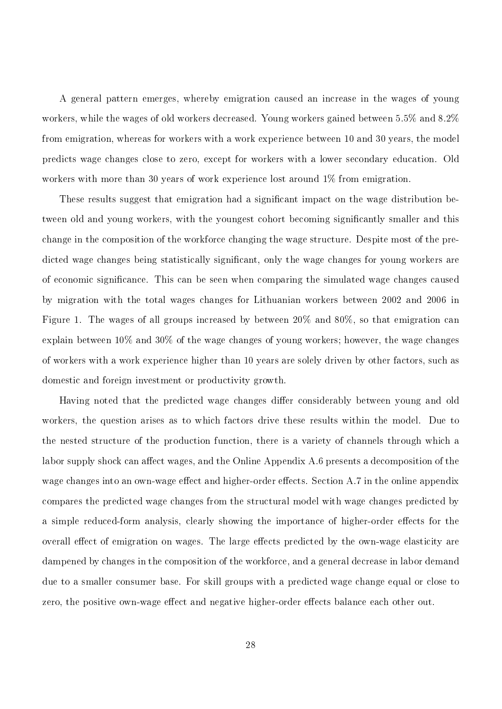A general pattern emerges, whereby emigration caused an increase in the wages of young workers, while the wages of old workers decreased. Young workers gained between 5.5% and 8.2% from emigration, whereas for workers with a work experience between 10 and 30 years, the model predicts wage changes close to zero, except for workers with a lower secondary education. Old workers with more than 30 years of work experience lost around 1% from emigration.

These results suggest that emigration had a significant impact on the wage distribution between old and young workers, with the youngest cohort becoming significantly smaller and this change in the composition of the workforce changing the wage structure. Despite most of the predicted wage changes being statistically significant, only the wage changes for young workers are of economic signicance. This can be seen when comparing the simulated wage changes caused by migration with the total wages changes for Lithuanian workers between 2002 and 2006 in Figure 1. The wages of all groups increased by between 20% and 80%, so that emigration can explain between 10% and 30% of the wage changes of young workers; however, the wage changes of workers with a work experience higher than 10 years are solely driven by other factors, such as domestic and foreign investment or productivity growth.

Having noted that the predicted wage changes differ considerably between young and old workers, the question arises as to which factors drive these results within the model. Due to the nested structure of the production function, there is a variety of channels through which a labor supply shock can affect wages, and the Online Appendix A.6 presents a decomposition of the wage changes into an own-wage effect and higher-order effects. Section A.7 in the online appendix compares the predicted wage changes from the structural model with wage changes predicted by a simple reduced-form analysis, clearly showing the importance of higher-order effects for the overall effect of emigration on wages. The large effects predicted by the own-wage elasticity are dampened by changes in the composition of the workforce, and a general decrease in labor demand due to a smaller consumer base. For skill groups with a predicted wage change equal or close to zero, the positive own-wage effect and negative higher-order effects balance each other out.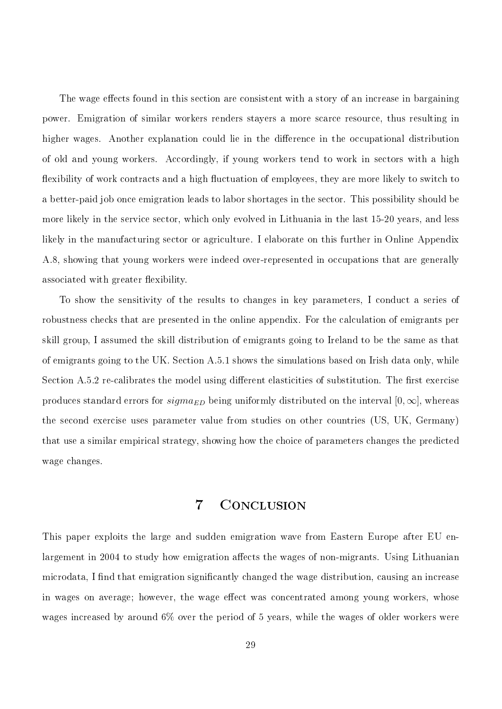The wage effects found in this section are consistent with a story of an increase in bargaining power. Emigration of similar workers renders stayers a more scarce resource, thus resulting in higher wages. Another explanation could lie in the difference in the occupational distribution of old and young workers. Accordingly, if young workers tend to work in sectors with a high flexibility of work contracts and a high fluctuation of employees, they are more likely to switch to a better-paid job once emigration leads to labor shortages in the sector. This possibility should be more likely in the service sector, which only evolved in Lithuania in the last 15-20 years, and less likely in the manufacturing sector or agriculture. I elaborate on this further in Online Appendix A.8, showing that young workers were indeed over-represented in occupations that are generally associated with greater flexibility.

To show the sensitivity of the results to changes in key parameters, I conduct a series of robustness checks that are presented in the online appendix. For the calculation of emigrants per skill group, I assumed the skill distribution of emigrants going to Ireland to be the same as that of emigrants going to the UK. Section A.5.1 shows the simulations based on Irish data only, while Section A.5.2 re-calibrates the model using different elasticities of substitution. The first exercise produces standard errors for  $sigma_{ED}$  being uniformly distributed on the interval  $[0, \infty]$ , whereas the second exercise uses parameter value from studies on other countries (US, UK, Germany) that use a similar empirical strategy, showing how the choice of parameters changes the predicted wage changes.

## 7 Conclusion

This paper exploits the large and sudden emigration wave from Eastern Europe after EU enlargement in 2004 to study how emigration affects the wages of non-migrants. Using Lithuanian microdata, I find that emigration significantly changed the wage distribution, causing an increase in wages on average; however, the wage effect was concentrated among young workers, whose wages increased by around 6% over the period of 5 years, while the wages of older workers were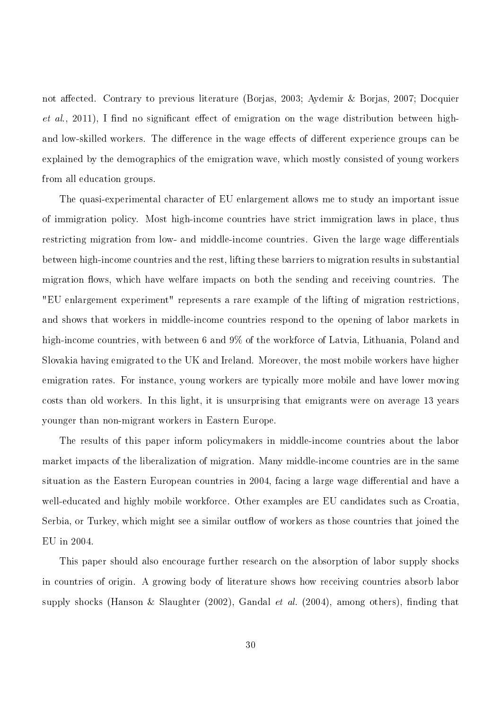not affected. Contrary to previous literature (Borjas, 2003; Aydemir & Borjas, 2007; Docquier  $et \ al.,\ 2011$ ), I find no significant effect of emigration on the wage distribution between highand low-skilled workers. The difference in the wage effects of different experience groups can be explained by the demographics of the emigration wave, which mostly consisted of young workers from all education groups.

The quasi-experimental character of EU enlargement allows me to study an important issue of immigration policy. Most high-income countries have strict immigration laws in place, thus restricting migration from low- and middle-income countries. Given the large wage differentials between high-income countries and the rest, lifting these barriers to migration results in substantial migration flows, which have welfare impacts on both the sending and receiving countries. The "EU enlargement experiment" represents a rare example of the lifting of migration restrictions, and shows that workers in middle-income countries respond to the opening of labor markets in high-income countries, with between 6 and 9% of the workforce of Latvia, Lithuania, Poland and Slovakia having emigrated to the UK and Ireland. Moreover, the most mobile workers have higher emigration rates. For instance, young workers are typically more mobile and have lower moving costs than old workers. In this light, it is unsurprising that emigrants were on average 13 years younger than non-migrant workers in Eastern Europe.

The results of this paper inform policymakers in middle-income countries about the labor market impacts of the liberalization of migration. Many middle-income countries are in the same situation as the Eastern European countries in 2004, facing a large wage differential and have a well-educated and highly mobile workforce. Other examples are EU candidates such as Croatia, Serbia, or Turkey, which might see a similar outflow of workers as those countries that joined the EU in 2004.

This paper should also encourage further research on the absorption of labor supply shocks in countries of origin. A growing body of literature shows how receiving countries absorb labor supply shocks (Hanson & Slaughter  $(2002)$ , Gandal *et al.*  $(2004)$ , among others), finding that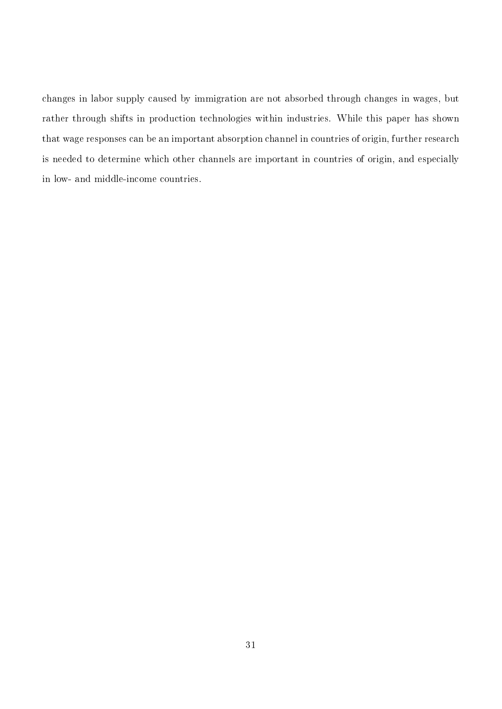changes in labor supply caused by immigration are not absorbed through changes in wages, but rather through shifts in production technologies within industries. While this paper has shown that wage responses can be an important absorption channel in countries of origin, further research is needed to determine which other channels are important in countries of origin, and especially in low- and middle-income countries.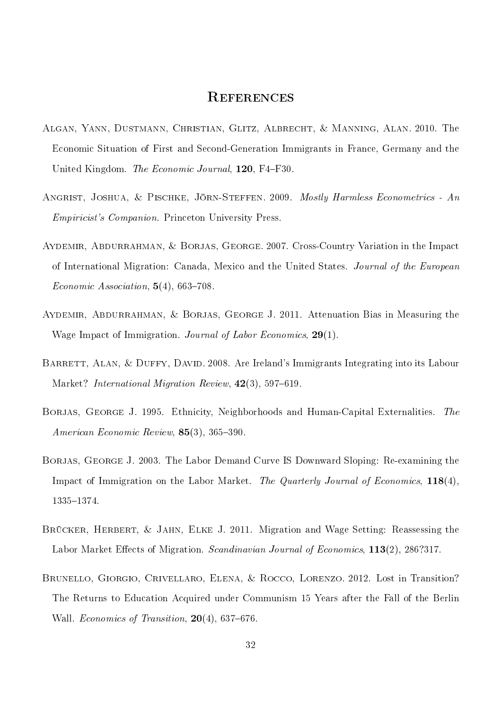## **REFERENCES**

- Algan, Yann, Dustmann, Christian, Glitz, Albrecht, & Manning, Alan. 2010. The Economic Situation of First and Second-Generation Immigrants in France, Germany and the United Kingdom. The Economic Journal, 120, F4-F30.
- ANGRIST, JOSHUA, & PISCHKE, JÖRN-STEFFEN. 2009. Mostly Harmless Econometrics An Empiricist's Companion. Princeton University Press.
- Aydemir, Abdurrahman, & Borjas, George. 2007. Cross-Country Variation in the Impact of International Migration: Canada, Mexico and the United States. Journal of the European Economic Association,  $5(4)$ , 663-708.
- Aydemir, Abdurrahman, & Borjas, George J. 2011. Attenuation Bias in Measuring the Wage Impact of Immigration. Journal of Labor Economics, 29(1).
- BARRETT, ALAN, & DUFFY, DAVID. 2008. Are Ireland's Immigrants Integrating into its Labour Market? International Migration Review,  $42(3)$ , 597-619.
- BORJAS, GEORGE J. 1995. Ethnicity, Neighborhoods and Human-Capital Externalities. The American Economic Review,  $85(3)$ ,  $365-390$ .
- BORJAS, GEORGE J. 2003. The Labor Demand Curve IS Downward Sloping: Re-examining the Impact of Immigration on the Labor Market. The Quarterly Journal of Economics, 118(4), 1335-1374.
- BRÜCKER, HERBERT, & JAHN, ELKE J. 2011. Migration and Wage Setting: Reassessing the Labor Market Effects of Migration. Scandinavian Journal of Economics, 113(2), 286?317.
- Brunello, Giorgio, Crivellaro, Elena, & Rocco, Lorenzo. 2012. Lost in Transition? The Returns to Education Acquired under Communism 15 Years after the Fall of the Berlin Wall. Economics of Transition,  $20(4)$ , 637–676.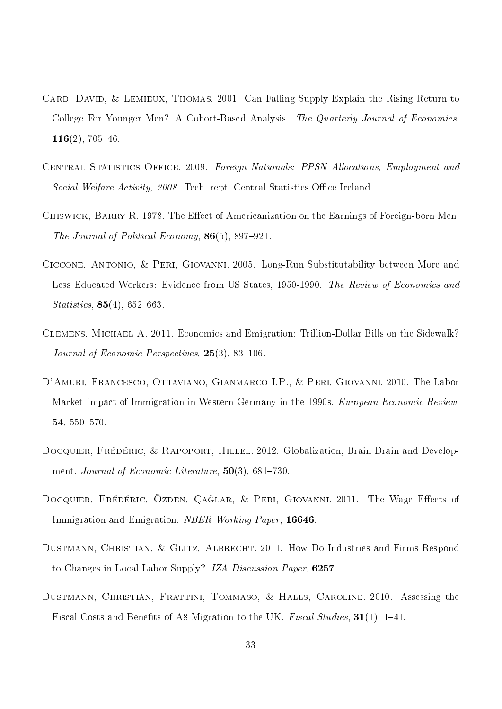- CARD, DAVID, & LEMIEUX, THOMAS. 2001. Can Falling Supply Explain the Rising Return to College For Younger Men? A Cohort-Based Analysis. The Quarterly Journal of Economics,  $116(2)$ , 705-46.
- Central Statistics Office. 2009. Foreign Nationals: PPSN Allocations, Employment and Social Welfare Activity, 2008. Tech. rept. Central Statistics Office Ireland.
- CHISWICK, BARRY R. 1978. The Effect of Americanization on the Earnings of Foreign-born Men. The Journal of Political Economy,  $86(5)$ , 897-921.
- Ciccone, Antonio, & Peri, Giovanni. 2005. Long-Run Substitutability between More and Less Educated Workers: Evidence from US States, 1950-1990. The Review of Economics and  $Statistics, 85(4), 652-663.$
- Clemens, Michael A. 2011. Economics and Emigration: Trillion-Dollar Bills on the Sidewalk? Journal of Economic Perspectives,  $25(3)$ ,  $83-106$ .
- D'Amuri, Francesco, Ottaviano, Gianmarco I.P., & Peri, Giovanni. 2010. The Labor Market Impact of Immigration in Western Germany in the 1990s. European Economic Review, 54, 550-570.
- DOCQUIER, FRÉDÉRIC, & RAPOPORT, HILLEL. 2012. Globalization, Brain Drain and Development. Journal of Economic Literature,  $50(3)$ ,  $681-730$ .
- DOCQUIER, FRÉDÉRIC, ÖZDEN, ÇAĞLAR, & PERI, GIOVANNI. 2011. The Wage Effects of Immigration and Emigration. NBER Working Paper, 16646.
- DUSTMANN, CHRISTIAN, & GLITZ, ALBRECHT. 2011. How Do Industries and Firms Respond to Changes in Local Labor Supply? IZA Discussion Paper, 6257.
- Dustmann, Christian, Frattini, Tommaso, & Halls, Caroline. 2010. Assessing the Fiscal Costs and Benefits of A8 Migration to the UK. Fiscal Studies,  $31(1)$ , 1–41.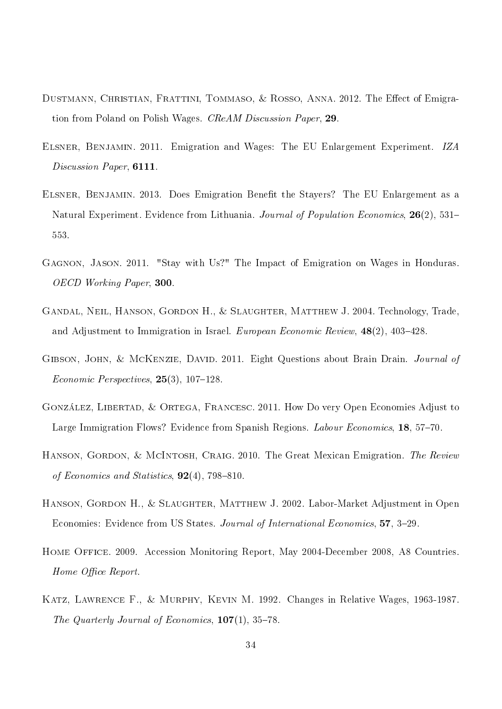- DUSTMANN, CHRISTIAN, FRATTINI, TOMMASO, & ROSSO, ANNA. 2012. The Effect of Emigration from Poland on Polish Wages. CReAM Discussion Paper, 29.
- Elsner, Benjamin. 2011. Emigration and Wages: The EU Enlargement Experiment. IZA Discussion Paper, 6111.
- ELSNER, BENJAMIN. 2013. Does Emigration Benefit the Stayers? The EU Enlargement as a Natural Experiment. Evidence from Lithuania. Journal of Population Economics, 26(2), 531– 553.
- Gagnon, Jason. 2011. "Stay with Us?" The Impact of Emigration on Wages in Honduras. OECD Working Paper, 300.
- Gandal, Neil, Hanson, Gordon H., & Slaughter, Matthew J. 2004. Technology, Trade, and Adjustment to Immigration in Israel. European Economic Review,  $48(2)$ ,  $403-428$ .
- GIBSON, JOHN, & MCKENZIE, DAVID. 2011. Eight Questions about Brain Drain. Journal of Economic Perspectives,  $25(3)$ ,  $107-128$ .
- González, Libertad, & Ortega, Francesc. 2011. How Do very Open Economies Adjust to Large Immigration Flows? Evidence from Spanish Regions. Labour Economics, 18, 57–70.
- HANSON, GORDON, & MCINTOSH, CRAIG. 2010. The Great Mexican Emigration. The Review of Economics and Statistics,  $92(4)$ , 798-810.
- HANSON, GORDON H., & SLAUGHTER, MATTHEW J. 2002. Labor-Market Adjustment in Open Economies: Evidence from US States. Journal of International Economics, 57, 3-29.
- Home Office. 2009. Accession Monitoring Report, May 2004-December 2008, A8 Countries. Home Office Report.
- Katz, Lawrence F., & Murphy, Kevin M. 1992. Changes in Relative Wages, 1963-1987. The Quarterly Journal of Economics,  $107(1)$ , 35-78.